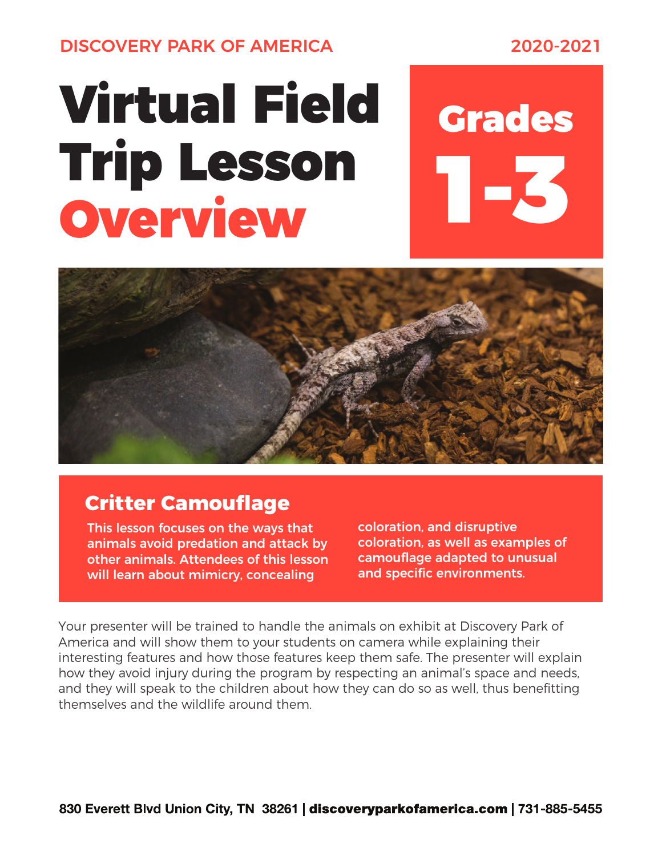DISCOVERY PARK OF AMERICA 2020-2021

## Virtual Field Grades Trip Lesson Overview

1-3



## **Critter Camouflage**

This lesson focuses on the ways that animals avoid predation and attack by other animals. Attendees of this lesson will learn about mimicry, concealing

coloration, and disruptive coloration, as well as examples of camouflage adapted to unusual and specific environments.

Your presenter will be trained to handle the animals on exhibit at Discovery Park of America and will show them to your students on camera while explaining their interesting features and how those features keep them safe. The presenter will explain how they avoid injury during the program by respecting an animal's space and needs, and they will speak to the children about how they can do so as well, thus benefitting themselves and the wildlife around them.